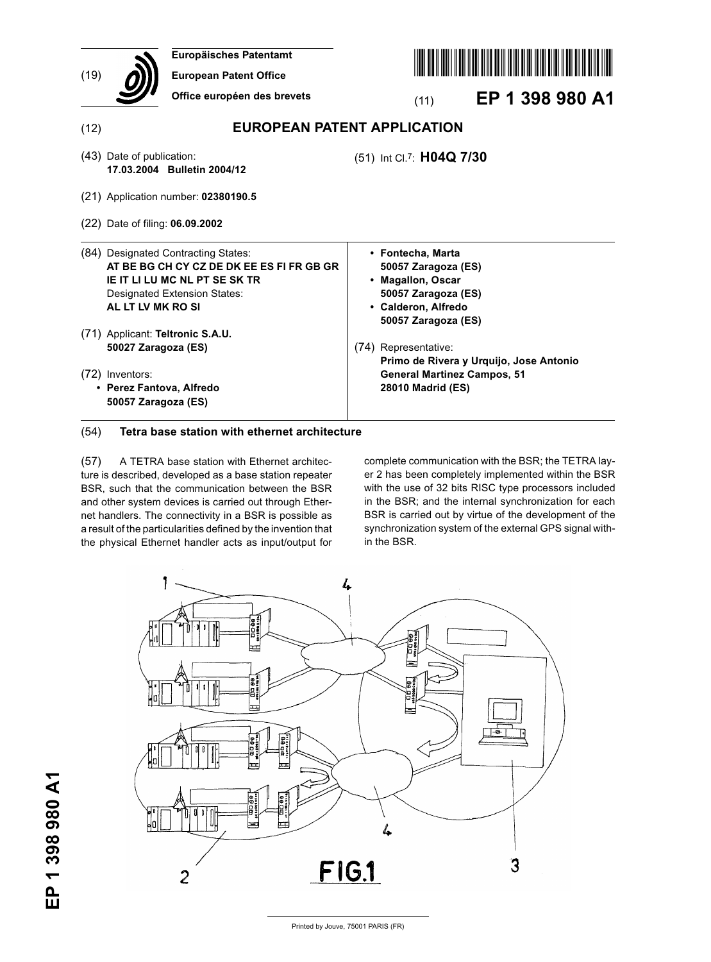| (19) | Europäisches Patentamt<br><b>European Patent Office</b><br>Office européen des brevets                                                                                               | EP 1 398 980 A1<br>(11)                                                                                                            |
|------|--------------------------------------------------------------------------------------------------------------------------------------------------------------------------------------|------------------------------------------------------------------------------------------------------------------------------------|
| (12) |                                                                                                                                                                                      | <b>EUROPEAN PATENT APPLICATION</b>                                                                                                 |
|      | (43) Date of publication:<br>17.03.2004 Bulletin 2004/12                                                                                                                             | (51) Int Cl.7: H04Q 7/30                                                                                                           |
|      | (21) Application number: 02380190.5                                                                                                                                                  |                                                                                                                                    |
|      | (22) Date of filing: 06.09.2002                                                                                                                                                      |                                                                                                                                    |
|      | (84) Designated Contracting States:<br>AT BE BG CH CY CZ DE DK EE ES FI FR GB GR<br><b>IE IT LI LU MC NL PT SE SK TR</b><br><b>Designated Extension States:</b><br>AL LT LV MK RO SI | • Fontecha, Marta<br>50057 Zaragoza (ES)<br>• Magallon, Oscar<br>50057 Zaragoza (ES)<br>• Calderon, Alfredo<br>50057 Zaragoza (ES) |
|      | (71) Applicant: Teltronic S.A.U.<br>50027 Zaragoza (ES)                                                                                                                              | (74) Representative:<br>Primo de Rivera y Urquijo, Jose Antonio                                                                    |
|      | (72) Inventors:<br>• Perez Fantova, Alfredo<br>50057 Zaragoza (ES)                                                                                                                   | <b>General Martinez Campos, 51</b><br>28010 Madrid (ES)                                                                            |

# (54) **Tetra base station with ethernet architecture**

(57) A TETRA base station with Ethernet architecture is described, developed as a base station repeater BSR, such that the communication between the BSR and other system devices is carried out through Ethernet handlers. The connectivity in a BSR is possible as a result of the particularities defined by the invention that the physical Ethernet handler acts as input/output for complete communication with the BSR; the TETRA layer 2 has been completely implemented within the BSR with the use of 32 bits RISC type processors included in the BSR; and the internal synchronization for each BSR is carried out by virtue of the development of the synchronization system of the external GPS signal within the BSR.

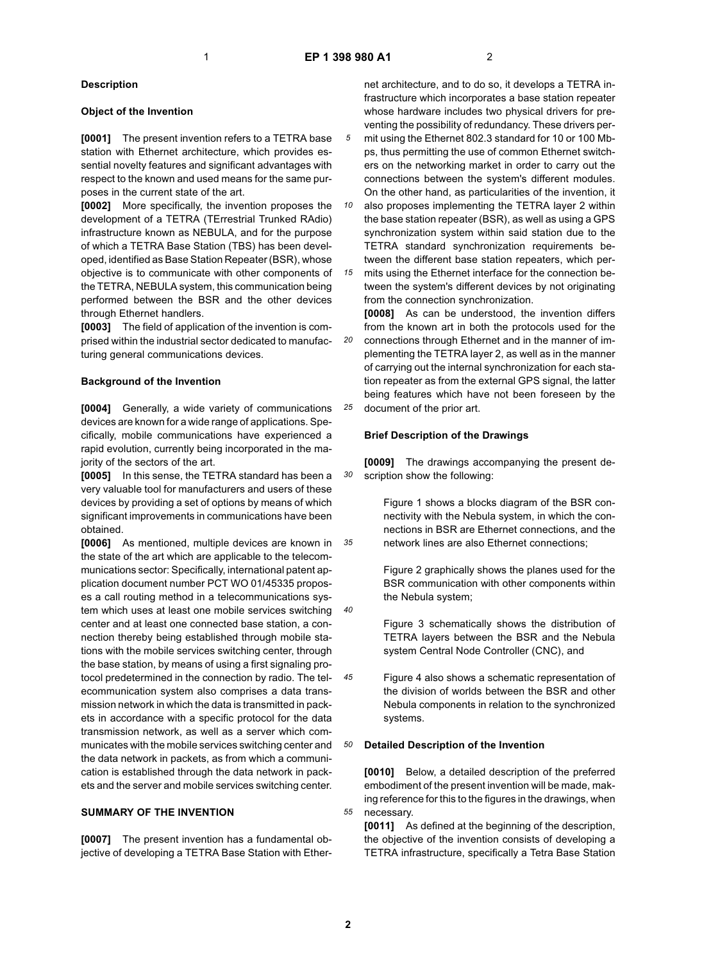*5*

*20*

*25*

*30*

## **Description**

### **Object of the Invention**

**[0001]** The present invention refers to a TETRA base station with Ethernet architecture, which provides essential novelty features and significant advantages with respect to the known and used means for the same purposes in the current state of the art.

**[0002]** More specifically, the invention proposes the development of a TETRA (TErrestrial Trunked RAdio) infrastructure known as NEBULA, and for the purpose of which a TETRA Base Station (TBS) has been developed, identified as Base Station Repeater (BSR), whose objective is to communicate with other components of the TETRA, NEBULA system, this communication being performed between the BSR and the other devices through Ethernet handlers.

**[0003]** The field of application of the invention is comprised within the industrial sector dedicated to manufacturing general communications devices.

## **Background of the Invention**

**[0004]** Generally, a wide variety of communications devices are known for a wide range of applications. Specifically, mobile communications have experienced a rapid evolution, currently being incorporated in the majority of the sectors of the art.

**[0005]** In this sense, the TETRA standard has been a very valuable tool for manufacturers and users of these devices by providing a set of options by means of which significant improvements in communications have been obtained.

*35 40 45 50* **[0006]** As mentioned, multiple devices are known in the state of the art which are applicable to the telecommunications sector: Specifically, international patent application document number PCT WO 01/45335 proposes a call routing method in a telecommunications system which uses at least one mobile services switching center and at least one connected base station, a connection thereby being established through mobile stations with the mobile services switching center, through the base station, by means of using a first signaling protocol predetermined in the connection by radio. The telecommunication system also comprises a data transmission network in which the data is transmitted in packets in accordance with a specific protocol for the data transmission network, as well as a server which communicates with the mobile services switching center and the data network in packets, as from which a communication is established through the data network in packets and the server and mobile services switching center.

## **SUMMARY OF THE INVENTION**

**[0007]** The present invention has a fundamental objective of developing a TETRA Base Station with Ethernet architecture, and to do so, it develops a TETRA infrastructure which incorporates a base station repeater whose hardware includes two physical drivers for preventing the possibility of redundancy. These drivers permit using the Ethernet 802.3 standard for 10 or 100 Mbps, thus permitting the use of common Ethernet switchers on the networking market in order to carry out the connections between the system's different modules. On the other hand, as particularities of the invention, it

*10 15* also proposes implementing the TETRA layer 2 within the base station repeater (BSR), as well as using a GPS synchronization system within said station due to the TETRA standard synchronization requirements between the different base station repeaters, which permits using the Ethernet interface for the connection be-

tween the system's different devices by not originating from the connection synchronization.

**[0008]** As can be understood, the invention differs from the known art in both the protocols used for the connections through Ethernet and in the manner of implementing the TETRA layer 2, as well as in the manner of carrying out the internal synchronization for each station repeater as from the external GPS signal, the latter being features which have not been foreseen by the document of the prior art.

#### **Brief Description of the Drawings**

**[0009]** The drawings accompanying the present description show the following:

Figure 1 shows a blocks diagram of the BSR connectivity with the Nebula system, in which the connections in BSR are Ethernet connections, and the network lines are also Ethernet connections;

Figure 2 graphically shows the planes used for the BSR communication with other components within the Nebula system;

Figure 3 schematically shows the distribution of TETRA layers between the BSR and the Nebula system Central Node Controller (CNC), and

Figure 4 also shows a schematic representation of the division of worlds between the BSR and other Nebula components in relation to the synchronized systems.

#### **Detailed Description of the Invention**

**[0010]** Below, a detailed description of the preferred embodiment of the present invention will be made, making reference for this to the figures in the drawings, when necessary.

**[0011]** As defined at the beginning of the description, the objective of the invention consists of developing a TETRA infrastructure, specifically a Tetra Base Station

*55*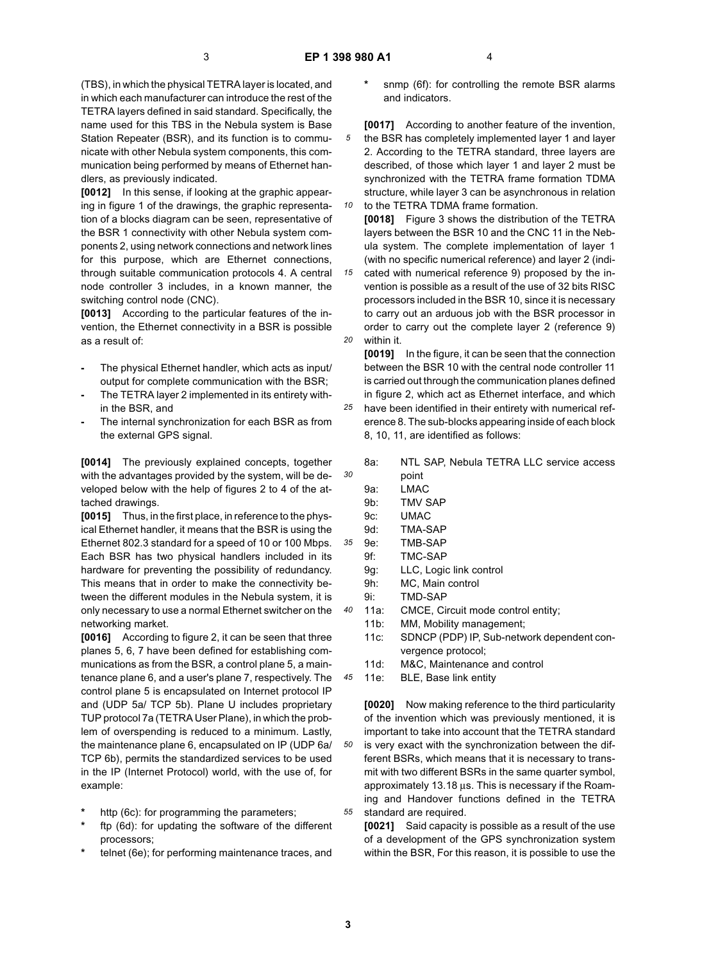*5*

*10*

*15*

*20*

*25*

*30*

*35*

*40*

*45*

*50*

*55*

(TBS), in which the physical TETRA layer is located, and in which each manufacturer can introduce the rest of the TETRA layers defined in said standard. Specifically, the name used for this TBS in the Nebula system is Base Station Repeater (BSR), and its function is to communicate with other Nebula system components, this communication being performed by means of Ethernet handlers, as previously indicated.

**[0012]** In this sense, if looking at the graphic appearing in figure 1 of the drawings, the graphic representation of a blocks diagram can be seen, representative of the BSR 1 connectivity with other Nebula system components 2, using network connections and network lines for this purpose, which are Ethernet connections, through suitable communication protocols 4. A central node controller 3 includes, in a known manner, the switching control node (CNC).

**[0013]** According to the particular features of the invention, the Ethernet connectivity in a BSR is possible as a result of:

- **-** The physical Ethernet handler, which acts as input/ output for complete communication with the BSR;
- **-** The TETRA layer 2 implemented in its entirety within the BSR, and
- **-** The internal synchronization for each BSR as from the external GPS signal.

**[0014]** The previously explained concepts, together with the advantages provided by the system, will be developed below with the help of figures 2 to 4 of the attached drawings.

**[0015]** Thus, in the first place, in reference to the physical Ethernet handler, it means that the BSR is using the Ethernet 802.3 standard for a speed of 10 or 100 Mbps. Each BSR has two physical handlers included in its hardware for preventing the possibility of redundancy. This means that in order to make the connectivity between the different modules in the Nebula system, it is only necessary to use a normal Ethernet switcher on the networking market.

**[0016]** According to figure 2, it can be seen that three planes 5, 6, 7 have been defined for establishing communications as from the BSR, a control plane 5, a maintenance plane 6, and a user's plane 7, respectively. The control plane 5 is encapsulated on Internet protocol IP and (UDP 5a/ TCP 5b). Plane U includes proprietary TUP protocol 7a (TETRA User Plane), in which the problem of overspending is reduced to a minimum. Lastly, the maintenance plane 6, encapsulated on IP (UDP 6a/ TCP 6b), permits the standardized services to be used in the IP (Internet Protocol) world, with the use of, for example:

- http (6c): for programming the parameters;
- **\*** ftp (6d): for updating the software of the different processors;
- **\*** telnet (6e); for performing maintenance traces, and

snmp (6f): for controlling the remote BSR alarms and indicators.

**[0017]** According to another feature of the invention, the BSR has completely implemented layer 1 and layer 2. According to the TETRA standard, three layers are described, of those which layer 1 and layer 2 must be synchronized with the TETRA frame formation TDMA structure, while layer 3 can be asynchronous in relation to the TETRA TDMA frame formation.

**[0018]** Figure 3 shows the distribution of the TETRA layers between the BSR 10 and the CNC 11 in the Nebula system. The complete implementation of layer 1 (with no specific numerical reference) and layer 2 (indicated with numerical reference 9) proposed by the in-

vention is possible as a result of the use of 32 bits RISC processors included in the BSR 10, since it is necessary to carry out an arduous job with the BSR processor in order to carry out the complete layer 2 (reference 9) within it.

**[0019]** In the figure, it can be seen that the connection between the BSR 10 with the central node controller 11 is carried out through the communication planes defined in figure 2, which act as Ethernet interface, and which have been identified in their entirety with numerical reference 8. The sub-blocks appearing inside of each block 8, 10, 11, are identified as follows:

- 8a: NTL SAP, Nebula TETRA LLC service access point 9a: LMAC
- 9b: TMV SAP
- 9c: UMAC
- 9d: TMA-SAP
- 9e: TMB-SAP
- 9f: TMC-SAP
- 9g: LLC, Logic link control
- 9h: MC, Main control
- 9i: TMD-SAP
- 11a: CMCE, Circuit mode control entity;
- 11b: MM, Mobility management;
- 11c: SDNCP (PDP) IP, Sub-network dependent convergence protocol;
- 11d: M&C, Maintenance and control
- 11e: BLE, Base link entity

**[0020]** Now making reference to the third particularity of the invention which was previously mentioned, it is important to take into account that the TETRA standard is very exact with the synchronization between the different BSRs, which means that it is necessary to transmit with two different BSRs in the same quarter symbol, approximately 13.18 µs. This is necessary if the Roaming and Handover functions defined in the TETRA standard are required.

**[0021]** Said capacity is possible as a result of the use of a development of the GPS synchronization system within the BSR, For this reason, it is possible to use the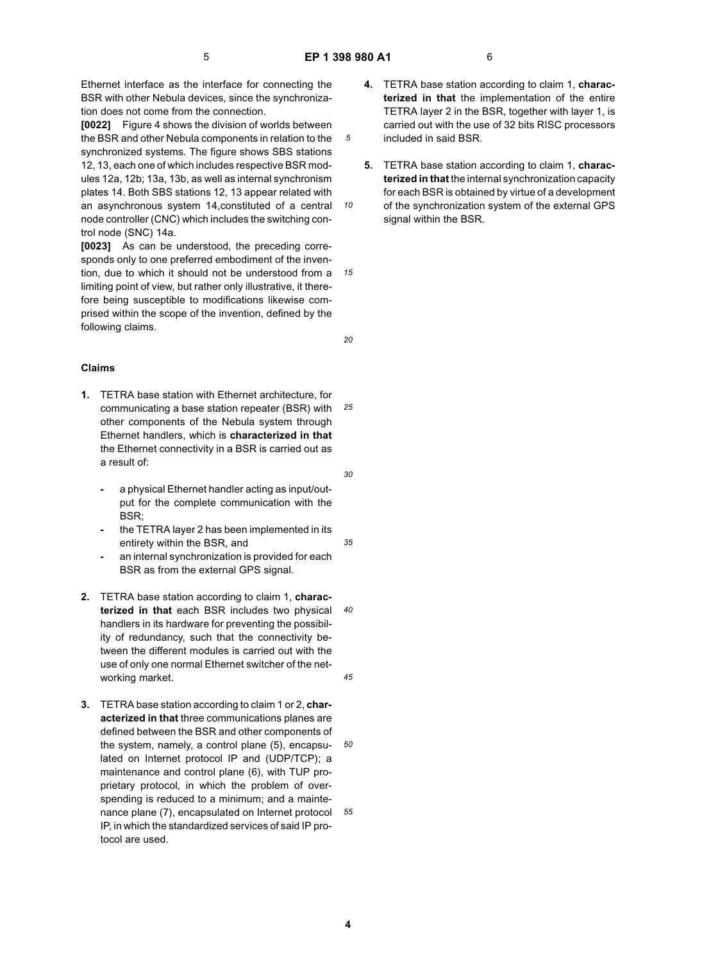*5*

*10*

*20*

Ethernet interface as the interface for connecting the BSR with other Nebula devices, since the synchronization does not come from the connection.

**[0022]** Figure 4 shows the division of worlds between the BSR and other Nebula components in relation to the synchronized systems. The figure shows SBS stations 12, 13, each one of which includes respective BSR modules 12a, 12b; 13a, 13b, as well as internal synchronism plates 14. Both SBS stations 12, 13 appear related with an asynchronous system 14,constituted of a central node controller (CNC) which includes the switching control node (SNC) 14a.

*15* **[0023]** As can be understood, the preceding corresponds only to one preferred embodiment of the invention, due to which it should not be understood from a limiting point of view, but rather only illustrative, it therefore being susceptible to modifications likewise comprised within the scope of the invention, defined by the following claims.

## **Claims**

- *25* **1.** TETRA base station with Ethernet architecture, for communicating a base station repeater (BSR) with other components of the Nebula system through Ethernet handlers, which is **characterized in that** the Ethernet connectivity in a BSR is carried out as a result of:
	- **-** a physical Ethernet handler acting as input/output for the complete communication with the BSR;
	- **-** the TETRA layer 2 has been implemented in its entirety within the BSR, and
	- **-** an internal synchronization is provided for each BSR as from the external GPS signal.
- *40 45* **2.** TETRA base station according to claim 1, **characterized in that** each BSR includes two physical handlers in its hardware for preventing the possibility of redundancy, such that the connectivity between the different modules is carried out with the use of only one normal Ethernet switcher of the networking market.
- *50 55* **3.** TETRA base station according to claim 1 or 2, **characterized in that** three communications planes are defined between the BSR and other components of the system, namely, a control plane (5), encapsulated on Internet protocol IP and (UDP/TCP); a maintenance and control plane (6), with TUP proprietary protocol, in which the problem of overspending is reduced to a minimum; and a maintenance plane (7), encapsulated on Internet protocol IP, in which the standardized services of said IP protocol are used.
- **4.** TETRA base station according to claim 1, **characterized in that** the implementation of the entire TETRA layer 2 in the BSR, together with layer 1, is carried out with the use of 32 bits RISC processors included in said BSR.
- **5.** TETRA base station according to claim 1, **characterized in that** the internal synchronization capacity for each BSR is obtained by virtue of a development of the synchronization system of the external GPS signal within the BSR.

*30*

*35*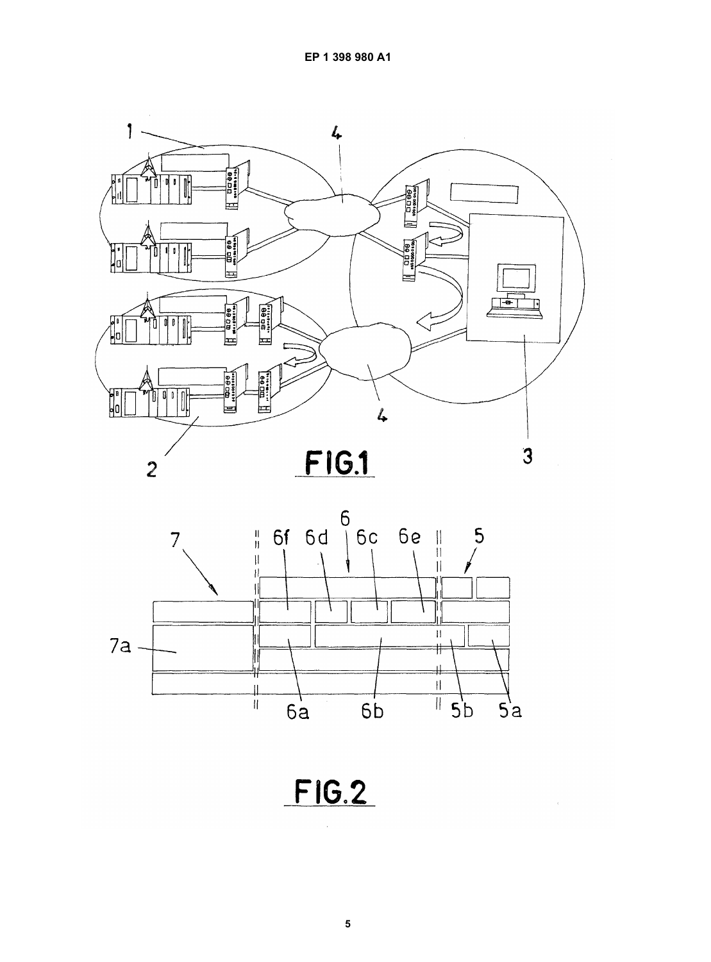



FIG.2

 $\hat{\mathcal{A}}$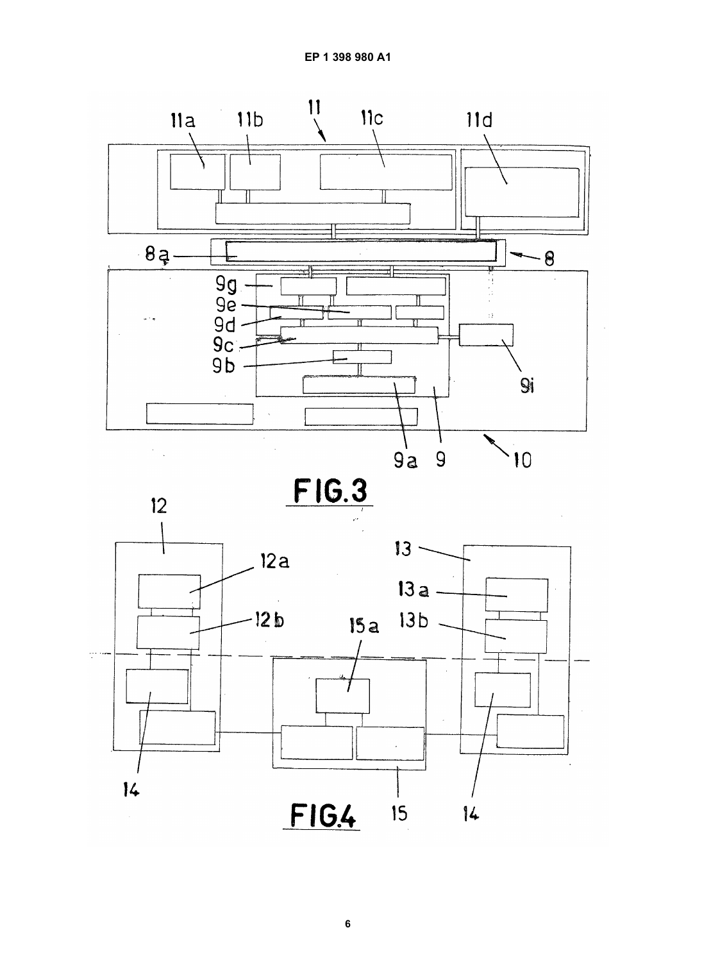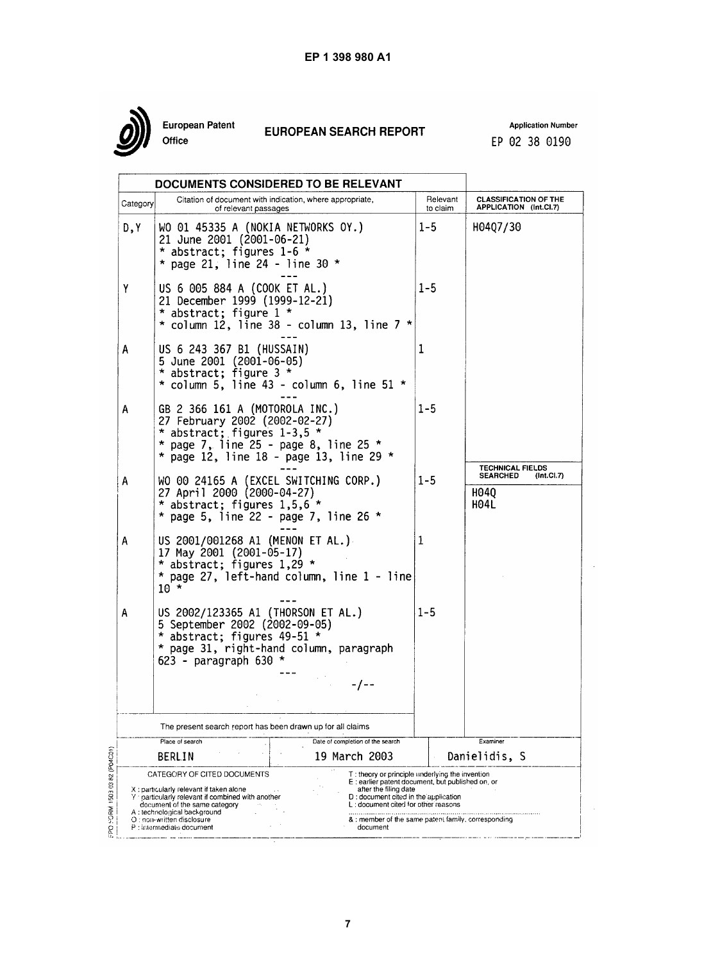

European Patent Office

# **EUROPEAN SEARCH REPORT**

**Application Number** EP 02 38 0190

|                                                                                                                                                                                              |                                                                                                                                                                                                                                                       | DOCUMENTS CONSIDERED TO BE RELEVANT                                                                                                                                                                                                                                            |                      |                                                                                 |  |  |
|----------------------------------------------------------------------------------------------------------------------------------------------------------------------------------------------|-------------------------------------------------------------------------------------------------------------------------------------------------------------------------------------------------------------------------------------------------------|--------------------------------------------------------------------------------------------------------------------------------------------------------------------------------------------------------------------------------------------------------------------------------|----------------------|---------------------------------------------------------------------------------|--|--|
| Category                                                                                                                                                                                     | Citation of document with indication, where appropriate,<br>of relevant passages                                                                                                                                                                      |                                                                                                                                                                                                                                                                                | Relevant<br>to claim | <b>CLASSIFICATION OF THE</b><br>APPLICATION (Int.CI.7)                          |  |  |
| D,Y                                                                                                                                                                                          | WO 01 45335 A (NOKIA NETWORKS OY.)<br>21 June 2001 (2001-06-21)<br>* abstract; figures 1-6 *<br>* page 21, line 24 - line 30 *                                                                                                                        |                                                                                                                                                                                                                                                                                | $1 - 5$              | H04Q7/30                                                                        |  |  |
| Υ                                                                                                                                                                                            | US 6 005 884 A (COOK ET AL.)<br>21 December 1999 (1999-12-21)<br>* abstract; figure 1 *                                                                                                                                                               | $\star$ column 12, line 38 - column 13, line 7 $\star$                                                                                                                                                                                                                         | $1 - 5$              |                                                                                 |  |  |
| A                                                                                                                                                                                            | US 6 243 367 B1 (HUSSAIN)<br>5 June 2001 (2001-06-05)<br>* abstract; figure 3 *                                                                                                                                                                       | $*$ column 5, line 43 - column 6, line 51 $*$                                                                                                                                                                                                                                  | ı                    |                                                                                 |  |  |
| A                                                                                                                                                                                            | GB 2 366 161 A (MOTOROLA INC.)<br>27 February 2002 (2002-02-27)<br>* abstract; figures $1-3,5$ *<br>* page 7, line 25 - page 8, line 25 *                                                                                                             | * page 12, line 18 - page 13, line 29 *                                                                                                                                                                                                                                        | $1 - 5$              |                                                                                 |  |  |
| A                                                                                                                                                                                            | WO 00 24165 A (EXCEL SWITCHING CORP.)<br>27 April 2000 (2000-04-27)<br>* abstract; figures 1,5,6 *<br>* page 5, line 22 - page 7, line 26 *                                                                                                           |                                                                                                                                                                                                                                                                                | $1 - 5$              | <b>TECHNICAL FIELDS</b><br>(Int.CI.7)<br><b>SEARCHED</b><br>H040<br><b>H04L</b> |  |  |
| A                                                                                                                                                                                            | US 2001/001268 A1 (MENON ET AL.)<br>17 May 2001 (2001-05-17)<br>* abstract; figures 1,29 *<br>* page 27, left-hand column, line 1 - line<br>$10 *$                                                                                                    | 1                                                                                                                                                                                                                                                                              |                      |                                                                                 |  |  |
| US 2002/123365 A1 (THORSON ET AL.)<br>Α<br>5 September 2002 (2002-09-05)<br>* abstract; figures 49-51 *<br>* page 31, right-hand column, paragraph<br>623 - paragraph 630 $\star$<br>$-/- -$ |                                                                                                                                                                                                                                                       |                                                                                                                                                                                                                                                                                | $1 - 5$              |                                                                                 |  |  |
|                                                                                                                                                                                              | The present search report has been drawn up for all claims                                                                                                                                                                                            |                                                                                                                                                                                                                                                                                |                      |                                                                                 |  |  |
|                                                                                                                                                                                              | Place of search<br>BERLIN                                                                                                                                                                                                                             | Date of completion of the search<br>19 March 2003                                                                                                                                                                                                                              |                      | Examiner<br>Danielidis, S                                                       |  |  |
|                                                                                                                                                                                              | CATEGORY OF CITED DOCUMENTS<br>X: particularly relevant if taken alone<br>Y particularly relevant if combined with another<br>document of the same category<br>A: technological background<br>O : non-written disclosure<br>P : intermediate document | T: theory or principle underlying the invention<br>E: earlier patent document, but published on, or<br>after the filing date<br>D: document cited in the application<br>L: document cited for other reasons<br>& : member of the same patent family, corresponding<br>document |                      |                                                                                 |  |  |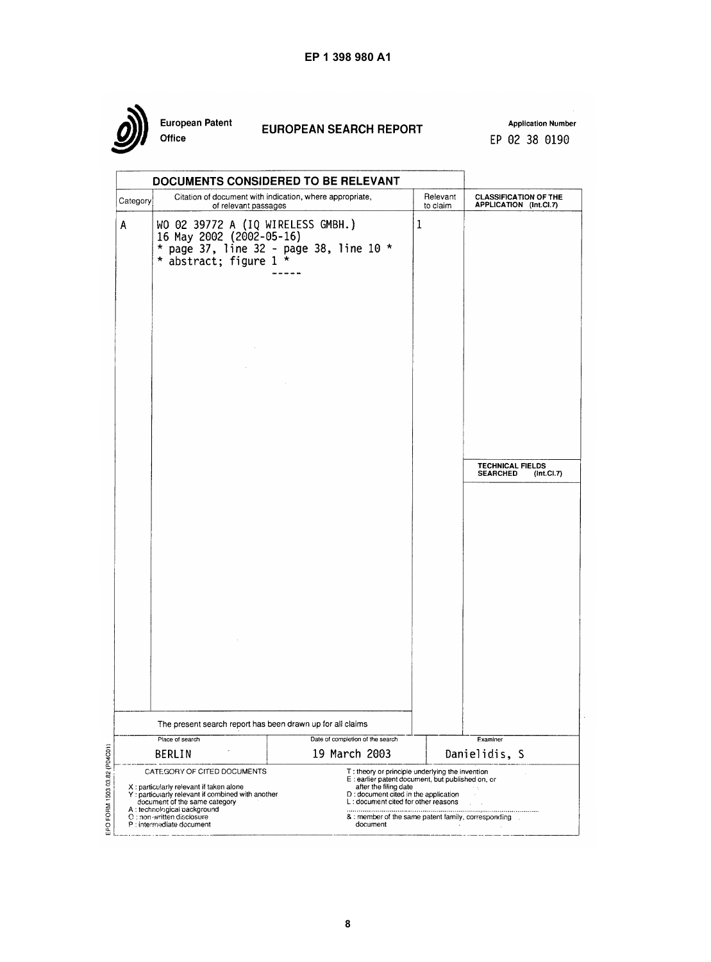

European Patent Office

# **EUROPEAN SEARCH REPORT**

**Application Number** EP 02 38 0190

|                                                                                                                                                                             | DOCUMENTS CONSIDERED TO BE RELEVANT                                                                                                |                                                                                                                               |                                                                                                                                                   |                                                          |  |  |
|-----------------------------------------------------------------------------------------------------------------------------------------------------------------------------|------------------------------------------------------------------------------------------------------------------------------------|-------------------------------------------------------------------------------------------------------------------------------|---------------------------------------------------------------------------------------------------------------------------------------------------|----------------------------------------------------------|--|--|
| Category                                                                                                                                                                    | Citation of document with indication, where appropriate,<br>of relevant passages                                                   |                                                                                                                               | Relevant<br>to claim                                                                                                                              | <b>CLASSIFICATION OF THE</b><br>APPLICATION (Int.CI.7)   |  |  |
| A                                                                                                                                                                           | WO 02 39772 A (IQ WIRELESS GMBH.)<br>16 May 2002 (2002-05-16)<br>* page 37, line 32 - page 38, line 10 *<br>* abstract; figure 1 * |                                                                                                                               | $\mathbf{1}$                                                                                                                                      |                                                          |  |  |
|                                                                                                                                                                             |                                                                                                                                    |                                                                                                                               |                                                                                                                                                   |                                                          |  |  |
|                                                                                                                                                                             |                                                                                                                                    |                                                                                                                               |                                                                                                                                                   | <b>TECHNICAL FIELDS</b><br>(Int.CI.7)<br><b>SEARCHED</b> |  |  |
|                                                                                                                                                                             |                                                                                                                                    |                                                                                                                               |                                                                                                                                                   |                                                          |  |  |
|                                                                                                                                                                             |                                                                                                                                    |                                                                                                                               |                                                                                                                                                   |                                                          |  |  |
|                                                                                                                                                                             |                                                                                                                                    |                                                                                                                               |                                                                                                                                                   |                                                          |  |  |
|                                                                                                                                                                             | The present search report has been drawn up for all claims                                                                         |                                                                                                                               |                                                                                                                                                   |                                                          |  |  |
|                                                                                                                                                                             | Place of search                                                                                                                    | Date of completion of the search<br>19 March 2003                                                                             |                                                                                                                                                   | Examiner                                                 |  |  |
|                                                                                                                                                                             | <b>BERLIN</b><br>CATEGORY OF CITED DOCUMENTS<br>X: particularly relevant if taken alone                                            | T: theory or principle underlying the invention<br>E : earlier patent document, but published on, or<br>after the filing date |                                                                                                                                                   | Danielidis, S                                            |  |  |
| Y: particularly relevant if combined with another<br>document of the same category<br>A: technological packground<br>O: non-written disclosure<br>P : intermediate document |                                                                                                                                    | document                                                                                                                      | D: document cited in the application<br>L: document cited for other reasons<br>& : member of the same patent family, corresponding<br><b>COLL</b> |                                                          |  |  |